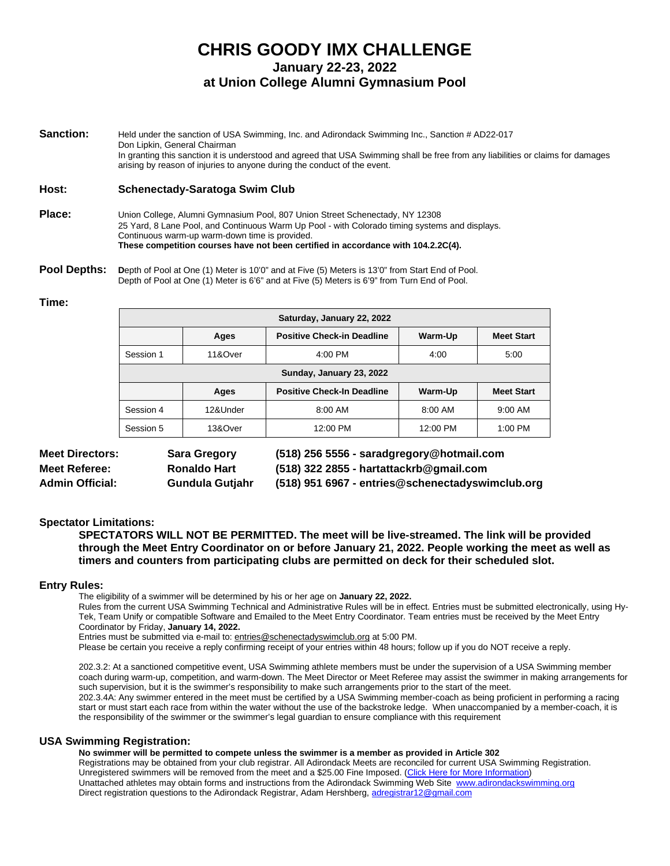# **CHRIS GOODY IMX CHALLENGE January 22-23, 2022 at Union College Alumni Gymnasium Pool**

**Sanction:** Held under the sanction of USA Swimming, Inc. and Adirondack Swimming Inc., Sanction # AD22-017 Don Lipkin, General Chairman In granting this sanction it is understood and agreed that USA Swimming shall be free from any liabilities or claims for damages arising by reason of injuries to anyone during the conduct of the event.

#### **Host: Schenectady-Saratoga Swim Club**

- **Place:** Union College, Alumni Gymnasium Pool, 807 Union Street Schenectady, NY 12308 25 Yard, 8 Lane Pool, and Continuous Warm Up Pool - with Colorado timing systems and displays. Continuous warm-up warm-down time is provided. **These competition courses have not been certified in accordance with 104.2.2C(4).**
- **Pool Depths:** Depth of Pool at One (1) Meter is 10'0" and at Five (5) Meters is 13'0" from Start End of Pool. Depth of Pool at One (1) Meter is 6'6" and at Five (5) Meters is 6'9" from Turn End of Pool.

#### **Time:**

| Saturday, January 22, 2022 |          |                                   |          |                   |
|----------------------------|----------|-----------------------------------|----------|-------------------|
|                            | Ages     | <b>Positive Check-in Deadline</b> | Warm-Up  | <b>Meet Start</b> |
| Session 1                  | 11&Over  | $4:00$ PM                         | 4:00     | 5:00              |
| Sunday, January 23, 2022   |          |                                   |          |                   |
|                            | Ages     | <b>Positive Check-In Deadline</b> | Warm-Up  | <b>Meet Start</b> |
| Session 4                  | 12&Under | 8:00 AM                           | 8:00 AM  | $9:00$ AM         |
| Session 5                  | 13&Over  | 12:00 PM                          | 12:00 PM | $1:00$ PM         |

| <b>Meet Directors:</b> | <b>Sara Gregory</b> | (518) 256 5556 - saradgregory@hotmail.com        |
|------------------------|---------------------|--------------------------------------------------|
| <b>Meet Referee:</b>   | <b>Ronaldo Hart</b> | $(518)$ 322 2855 - hartattackrb@gmail.com        |
| <b>Admin Official:</b> | Gundula Gutjahr     | (518) 951 6967 - entries@schenectadyswimclub.org |

#### **Spectator Limitations:**

**SPECTATORS WILL NOT BE PERMITTED. The meet will be live-streamed. The link will be provided through the Meet Entry Coordinator on or before January 21, 2022. People working the meet as well as timers and counters from participating clubs are permitted on deck for their scheduled slot.**

#### **Entry Rules:**

The eligibility of a swimmer will be determined by his or her age on **January 22, 2022.**

Rules from the current USA Swimming Technical and Administrative Rules will be in effect. Entries must be submitted electronically, using Hy-Tek, Team Unify or compatible Software and Emailed to the Meet Entry Coordinator. Team entries must be received by the Meet Entry Coordinator by Friday, **January 14, 2022.**

Entries must be submitted via e-mail to: [entries@schenectadyswimclub.org](mailto:entries@schenectadyswimclub.org) at 5:00 PM.

Please be certain you receive a reply confirming receipt of your entries within 48 hours; follow up if you do NOT receive a reply.

202.3.2: At a sanctioned competitive event, USA Swimming athlete members must be under the supervision of a USA Swimming member coach during warm-up, competition, and warm-down. The Meet Director or Meet Referee may assist the swimmer in making arrangements for such supervision, but it is the swimmer's responsibility to make such arrangements prior to the start of the meet. 202.3.4A: Any swimmer entered in the meet must be certified by a USA Swimming member-coach as being proficient in performing a racing start or must start each race from within the water without the use of the backstroke ledge. When unaccompanied by a member-coach, it is the responsibility of the swimmer or the swimmer's legal guardian to ensure compliance with this requirement

#### **USA Swimming Registration:**

**No swimmer will be permitted to compete unless the swimmer is a member as provided in Article 302**

Registrations may be obtained from your club registrar. All Adirondack Meets are reconciled for current USA Swimming Registration. Unregistered swimmers will be removed from the meet and a \$25.00 Fine Imposed. (Click Here for More Information) Unattached athletes may obtain forms and instructions from the Adirondack Swimming Web Site [www.adirondackswimming.org](http://www.adirondackswimming.org/) Direct registration questions to the Adirondack Registrar, Adam Hershberg[, adregistrar12@gmail.com](mailto:adregistrar12@gmail.com)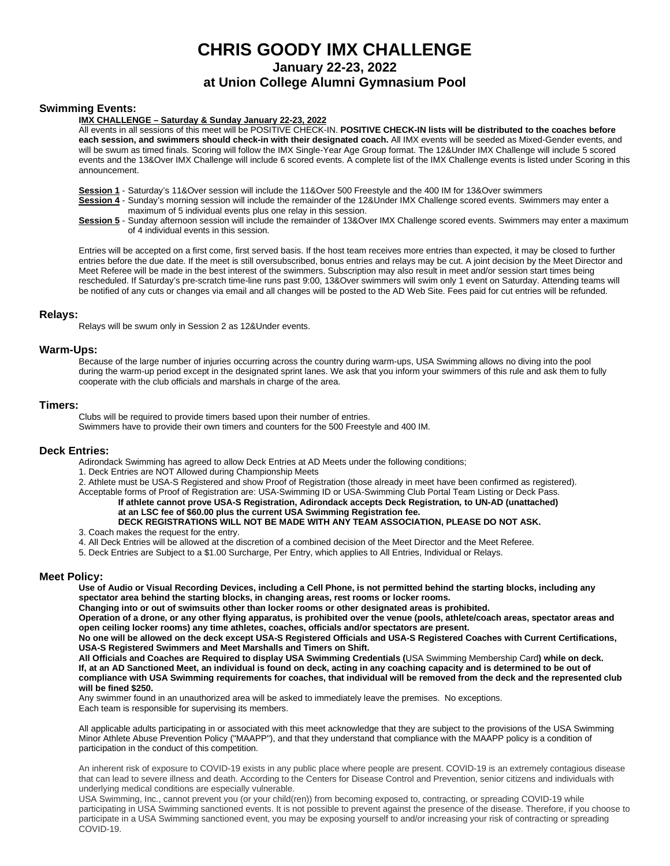**January 22-23, 2022**

## **at Union College Alumni Gymnasium Pool**

#### **Swimming Events:**

#### **IMX CHALLENGE – Saturday & Sunday January 22-23, 2022**

All events in all sessions of this meet will be POSITIVE CHECK-IN. **POSITIVE CHECK-IN lists will be distributed to the coaches before each session, and swimmers should check-in with their designated coach.** All IMX events will be seeded as Mixed-Gender events, and will be swum as timed finals. Scoring will follow the IMX Single-Year Age Group format. The 12&Under IMX Challenge will include 5 scored events and the 13&Over IMX Challenge will include 6 scored events. A complete list of the IMX Challenge events is listed under Scoring in this announcement.

**Session 1** - Saturday's 11&Over session will include the 11&Over 500 Freestyle and the 400 IM for 13&Over swimmers

**Session 4** - Sunday's morning session will include the remainder of the 12&Under IMX Challenge scored events. Swimmers may enter a maximum of 5 individual events plus one relay in this session.

**Session 5** - Sunday afternoon session will include the remainder of 13&Over IMX Challenge scored events. Swimmers may enter a maximum of 4 individual events in this session.

Entries will be accepted on a first come, first served basis. If the host team receives more entries than expected, it may be closed to further entries before the due date. If the meet is still oversubscribed, bonus entries and relays may be cut. A joint decision by the Meet Director and Meet Referee will be made in the best interest of the swimmers. Subscription may also result in meet and/or session start times being rescheduled. If Saturday's pre-scratch time-line runs past 9:00, 13&Over swimmers will swim only 1 event on Saturday. Attending teams will be notified of any cuts or changes via email and all changes will be posted to the AD Web Site. Fees paid for cut entries will be refunded.

#### **Relays:**

Relays will be swum only in Session 2 as 12&Under events.

#### **Warm-Ups:**

Because of the large number of injuries occurring across the country during warm-ups, USA Swimming allows no diving into the pool during the warm-up period except in the designated sprint lanes. We ask that you inform your swimmers of this rule and ask them to fully cooperate with the club officials and marshals in charge of the area.

#### **Timers:**

Clubs will be required to provide timers based upon their number of entries.

Swimmers have to provide their own timers and counters for the 500 Freestyle and 400 IM.

#### **Deck Entries:**

Adirondack Swimming has agreed to allow Deck Entries at AD Meets under the following conditions;

1. Deck Entries are NOT Allowed during Championship Meets

2. Athlete must be USA-S Registered and show Proof of Registration (those already in meet have been confirmed as registered).

Acceptable forms of Proof of Registration are: USA-Swimming ID or USA-Swimming Club Portal Team Listing or Deck Pass. **If athlete cannot prove USA-S Registration, Adirondack accepts Deck Registration***,* **to UN-AD (unattached) at an LSC fee of \$60.00 plus the current USA Swimming Registration fee. DECK REGISTRATIONS WILL NOT BE MADE WITH ANY TEAM ASSOCIATION, PLEASE DO NOT ASK.**

#### 3. Coach makes the request for the entry.

- 4. All Deck Entries will be allowed at the discretion of a combined decision of the Meet Director and the Meet Referee.
- 5. Deck Entries are Subject to a \$1.00 Surcharge, Per Entry, which applies to All Entries, Individual or Relays.

#### **Meet Policy:**

**Use of Audio or Visual Recording Devices, including a Cell Phone, is not permitted behind the starting blocks, including any**  spectator area behind the starting blocks, in changing areas, rest rooms or locker rooms.

**Changing into or out of swimsuits other than locker rooms or other designated areas is prohibited.** 

**Operation of a drone, or any other flying apparatus, is prohibited over the venue (pools, athlete/coach areas, spectator areas and open ceiling locker rooms) any time athletes, coaches, officials and/or spectators are present.**

**No one will be allowed on the deck except USA-S Registered Officials and USA-S Registered Coaches with Current Certifications, USA-S Registered Swimmers and Meet Marshalls and Timers on Shift.**

**All Officials and Coaches are Required to display USA Swimming Credentials (**USA Swimming Membership Card**) while on deck. If, at an AD Sanctioned Meet, an individual is found on deck, acting in any coaching capacity and is determined to be out of compliance with USA Swimming requirements for coaches, that individual will be removed from the deck and the represented club will be fined \$250.**

Any swimmer found in an unauthorized area will be asked to immediately leave the premises. No exceptions. Each team is responsible for supervising its members.

All applicable adults participating in or associated with this meet acknowledge that they are subject to the provisions of the USA Swimming Minor Athlete Abuse Prevention Policy ("MAAPP"), and that they understand that compliance with the MAAPP policy is a condition of participation in the conduct of this competition.

An inherent risk of exposure to COVID-19 exists in any public place where people are present. COVID-19 is an extremely contagious disease that can lead to severe illness and death. According to the Centers for Disease Control and Prevention, senior citizens and individuals with underlying medical conditions are especially vulnerable.

USA Swimming, Inc., cannot prevent you (or your child(ren)) from becoming exposed to, contracting, or spreading COVID-19 while participating in USA Swimming sanctioned events. It is not possible to prevent against the presence of the disease. Therefore, if you choose to participate in a USA Swimming sanctioned event, you may be exposing yourself to and/or increasing your risk of contracting or spreading COVID-19.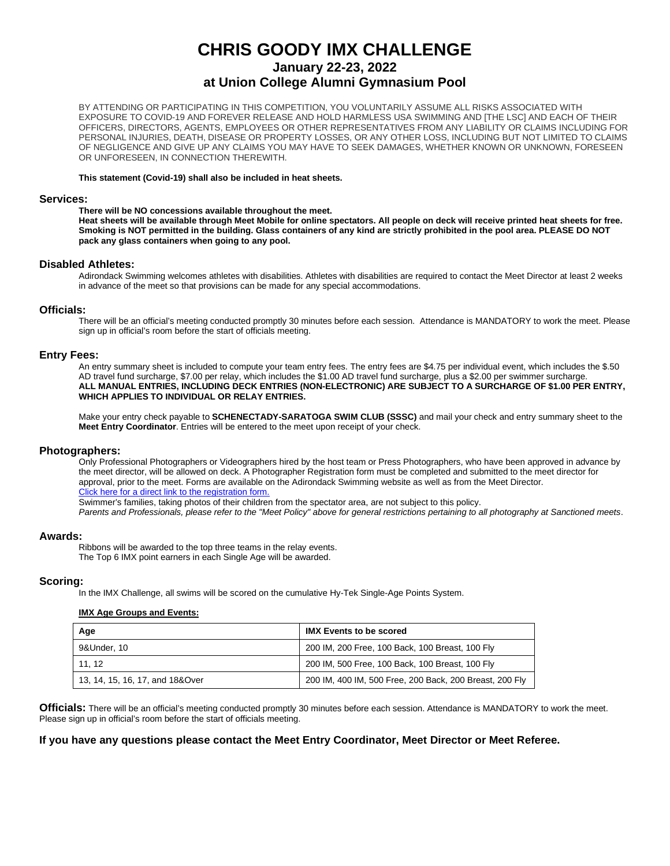**January 22-23, 2022**

#### **at Union College Alumni Gymnasium Pool**

BY ATTENDING OR PARTICIPATING IN THIS COMPETITION, YOU VOLUNTARILY ASSUME ALL RISKS ASSOCIATED WITH EXPOSURE TO COVID-19 AND FOREVER RELEASE AND HOLD HARMLESS USA SWIMMING AND [THE LSC] AND EACH OF THEIR OFFICERS, DIRECTORS, AGENTS, EMPLOYEES OR OTHER REPRESENTATIVES FROM ANY LIABILITY OR CLAIMS INCLUDING FOR PERSONAL INJURIES, DEATH, DISEASE OR PROPERTY LOSSES, OR ANY OTHER LOSS, INCLUDING BUT NOT LIMITED TO CLAIMS OF NEGLIGENCE AND GIVE UP ANY CLAIMS YOU MAY HAVE TO SEEK DAMAGES, WHETHER KNOWN OR UNKNOWN, FORESEEN OR UNFORESEEN, IN CONNECTION THEREWITH.

#### **This statement (Covid-19) shall also be included in heat sheets.**

#### **Services:**

#### **There will be NO concessions available throughout the meet.**

**Heat sheets will be available through Meet Mobile for online spectators. All people on deck will receive printed heat sheets for free. Smoking is NOT permitted in the building. Glass containers of any kind are strictly prohibited in the pool area. PLEASE DO NOT pack any glass containers when going to any pool.**

#### **Disabled Athletes:**

Adirondack Swimming welcomes athletes with disabilities. Athletes with disabilities are required to contact the Meet Director at least 2 weeks in advance of the meet so that provisions can be made for any special accommodations.

#### **Officials:**

There will be an official's meeting conducted promptly 30 minutes before each session. Attendance is MANDATORY to work the meet. Please sign up in official's room before the start of officials meeting.

#### **Entry Fees:**

An entry summary sheet is included to compute your team entry fees. The entry fees are \$4.75 per individual event, which includes the \$.50 AD travel fund surcharge, \$7.00 per relay, which includes the \$1.00 AD travel fund surcharge, plus a \$2.00 per swimmer surcharge. **ALL MANUAL ENTRIES, INCLUDING DECK ENTRIES (NON-ELECTRONIC) ARE SUBJECT TO A SURCHARGE OF \$1.00 PER ENTRY, WHICH APPLIES TO INDIVIDUAL OR RELAY ENTRIES.**

Make your entry check payable to **SCHENECTADY-SARATOGA SWIM CLUB (SSSC)** and mail your check and entry summary sheet to the **Meet Entry Coordinator**. Entries will be entered to the meet upon receipt of your check.

#### **Photographers:**

Only Professional Photographers or Videographers hired by the host team or Press Photographers, who have been approved in advance by the meet director, will be allowed on deck. A Photographer Registration form must be completed and submitted to the meet director for approval, prior to the meet. Forms are available on the Adirondack Swimming website as well as from the Meet Director. Click here for a direct link to the registration form.

Swimmer's families, taking photos of their children from the spectator area, are not subject to this policy.

*Parents and Professionals, please refer to the "Meet Policy" above for general restrictions pertaining to all photography at Sanctioned meets*.

#### **Awards:**

Ribbons will be awarded to the top three teams in the relay events. The Top 6 IMX point earners in each Single Age will be awarded.

#### **Scoring:**

In the IMX Challenge, all swims will be scored on the cumulative Hy-Tek Single-Age Points System.

#### **IMX Age Groups and Events:**

| Age                             | <b>IMX Events to be scored</b>                          |
|---------------------------------|---------------------------------------------------------|
| 9&Under, 10                     | 200 IM, 200 Free, 100 Back, 100 Breast, 100 Fly         |
| 11.12                           | 200 IM, 500 Free, 100 Back, 100 Breast, 100 Fly         |
| 13, 14, 15, 16, 17, and 18&Over | 200 IM, 400 IM, 500 Free, 200 Back, 200 Breast, 200 Fly |

**Officials:** There will be an official's meeting conducted promptly 30 minutes before each session. Attendance is MANDATORY to work the meet. Please sign up in official's room before the start of officials meeting.

#### **If you have any questions please contact the Meet Entry Coordinator, Meet Director or Meet Referee.**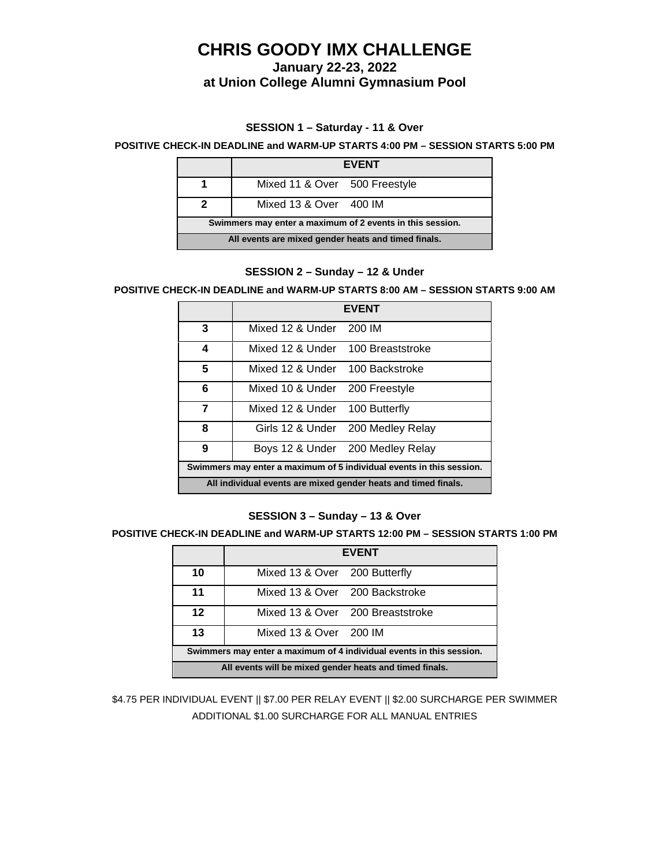**January 22-23, 2022**

# **at Union College Alumni Gymnasium Pool**

## **SESSION 1 – Saturday - 11 & Over**

#### **POSITIVE CHECK-IN DEADLINE and WARM-UP STARTS 4:00 PM – SESSION STARTS 5:00 PM**

|                                                           | <b>EVENT</b>                  |  |
|-----------------------------------------------------------|-------------------------------|--|
|                                                           | Mixed 11 & Over 500 Freestyle |  |
| 2                                                         | Mixed 13 & Over 400 IM        |  |
| Swimmers may enter a maximum of 2 events in this session. |                               |  |
| All events are mixed gender heats and timed finals.       |                               |  |

#### **SESSION 2 – Sunday – 12 & Under**

#### **POSITIVE CHECK-IN DEADLINE and WARM-UP STARTS 8:00 AM – SESSION STARTS 9:00 AM**

|                                                                      | <b>EVENT</b>                      |                                   |
|----------------------------------------------------------------------|-----------------------------------|-----------------------------------|
| 3                                                                    | Mixed 12 & Under 200 IM           |                                   |
| 4                                                                    | Mixed 12 & Under 100 Breaststroke |                                   |
| 5                                                                    | Mixed 12 & Under 100 Backstroke   |                                   |
| 6                                                                    | Mixed 10 & Under 200 Freestyle    |                                   |
| 7                                                                    | Mixed 12 & Under 100 Butterfly    |                                   |
| 8                                                                    |                                   | Girls 12 & Under 200 Medley Relay |
| 9                                                                    |                                   | Boys 12 & Under 200 Medley Relay  |
| Swimmers may enter a maximum of 5 individual events in this session. |                                   |                                   |
| All individual events are mixed gender heats and timed finals.       |                                   |                                   |

#### **SESSION 3 – Sunday – 13 & Over**

### **POSITIVE CHECK-IN DEADLINE and WARM-UP STARTS 12:00 PM – SESSION STARTS 1:00 PM**

|                                                                      | <b>EVENT</b>                     |  |
|----------------------------------------------------------------------|----------------------------------|--|
| 10                                                                   | Mixed 13 & Over 200 Butterfly    |  |
| 11                                                                   | Mixed 13 & Over 200 Backstroke   |  |
| 12                                                                   | Mixed 13 & Over 200 Breaststroke |  |
| 13                                                                   | Mixed 13 & Over 200 IM           |  |
| Swimmers may enter a maximum of 4 individual events in this session. |                                  |  |
| All events will be mixed gender heats and timed finals.              |                                  |  |

\$4.75 PER INDIVIDUAL EVENT || \$7.00 PER RELAY EVENT || \$2.00 SURCHARGE PER SWIMMER ADDITIONAL \$1.00 SURCHARGE FOR ALL MANUAL ENTRIES